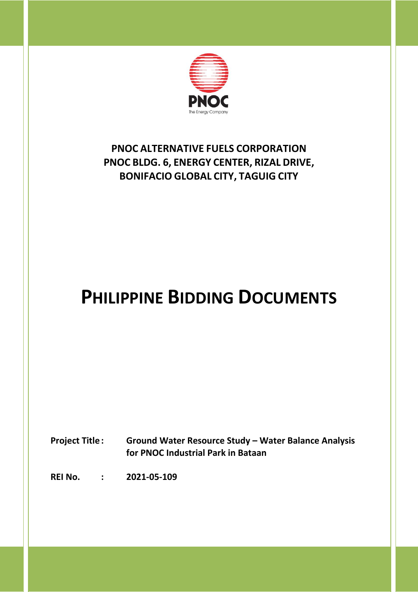

### **PNOC ALTERNATIVE FUELS CORPORATION PNOC BLDG. 6, ENERGY CENTER, RIZAL DRIVE, BONIFACIO GLOBAL CITY, TAGUIG CITY**

## **PHILIPPINE BIDDING DOCUMENTS**

**Project Title : Ground Water Resource Study – Water Balance Analysis for PNOC Industrial Park in Bataan**

**REI No. : 2021-05-109**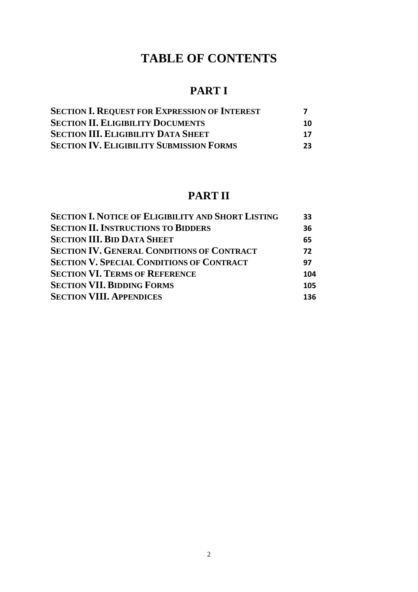### **TABLE OF CONTENTS**

### **PART I**

| <b>SECTION I. REQUEST FOR EXPRESSION OF INTEREST</b> |    |
|------------------------------------------------------|----|
| <b>SECTION II. ELIGIBILITY DOCUMENTS</b>             | 10 |
| <b>SECTION III. ELIGIBILITY DATA SHEET</b>           | 17 |
| <b>SECTION IV. ELIGIBILITY SUBMISSION FORMS</b>      | 23 |

### **PART II**

| <b>SECTION I. NOTICE OF ELIGIBILITY AND SHORT LISTING</b> | 33  |
|-----------------------------------------------------------|-----|
| <b>SECTION II. INSTRUCTIONS TO BIDDERS</b>                | 36  |
| <b>SECTION III. BID DATA SHEET</b>                        | 65  |
| <b>SECTION IV. GENERAL CONDITIONS OF CONTRACT</b>         | 72  |
| <b>SECTION V. SPECIAL CONDITIONS OF CONTRACT</b>          | 97  |
| <b>SECTION VI. TERMS OF REFERENCE</b>                     | 104 |
| <b>SECTION VII. BIDDING FORMS</b>                         | 105 |
| <b>SECTION VIII. APPENDICES</b>                           | 136 |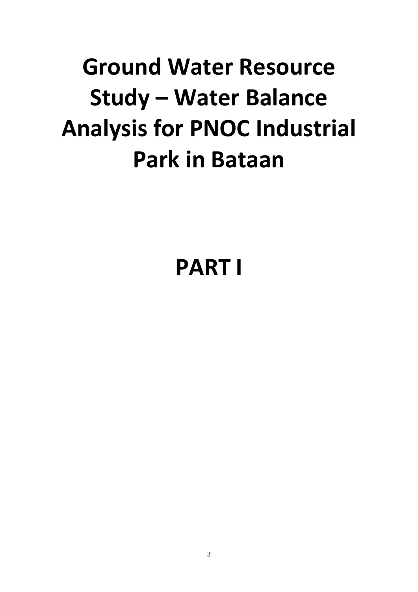# **Ground Water Resource Study – Water Balance Analysis for PNOC Industrial Park in Bataan**

## **PART I**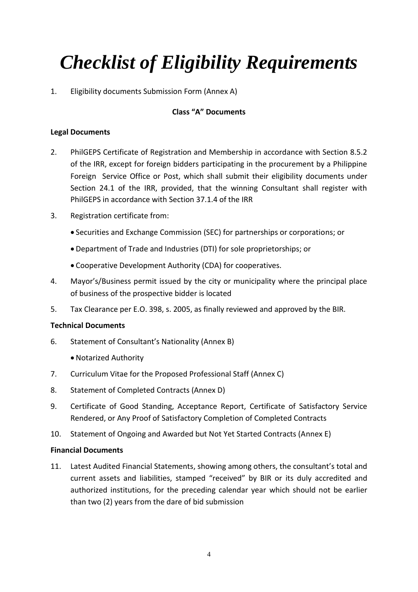## *Checklist of Eligibility Requirements*

1. Eligibility documents Submission Form (Annex A)

#### **Class "A" Documents**

#### **Legal Documents**

- 2. PhilGEPS Certificate of Registration and Membership in accordance with Section 8.5.2 of the IRR, except for foreign bidders participating in the procurement by a Philippine Foreign Service Office or Post, which shall submit their eligibility documents under Section 24.1 of the IRR, provided, that the winning Consultant shall register with PhilGEPS in accordance with Section 37.1.4 of the IRR
- 3. Registration certificate from:
	- Securities and Exchange Commission (SEC) for partnerships or corporations; or
	- Department of Trade and Industries (DTI) for sole proprietorships; or
	- Cooperative Development Authority (CDA) for cooperatives.
- 4. Mayor's/Business permit issued by the city or municipality where the principal place of business of the prospective bidder is located
- 5. Tax Clearance per E.O. 398, s. 2005, as finally reviewed and approved by the BIR.

#### **Technical Documents**

- 6. Statement of Consultant's Nationality (Annex B)
	- Notarized Authority
- 7. Curriculum Vitae for the Proposed Professional Staff (Annex C)
- 8. Statement of Completed Contracts (Annex D)
- 9. Certificate of Good Standing, Acceptance Report, Certificate of Satisfactory Service Rendered, or Any Proof of Satisfactory Completion of Completed Contracts
- 10. Statement of Ongoing and Awarded but Not Yet Started Contracts (Annex E)

#### **Financial Documents**

11. Latest Audited Financial Statements, showing among others, the consultant's total and current assets and liabilities, stamped "received" by BIR or its duly accredited and authorized institutions, for the preceding calendar year which should not be earlier than two (2) years from the dare of bid submission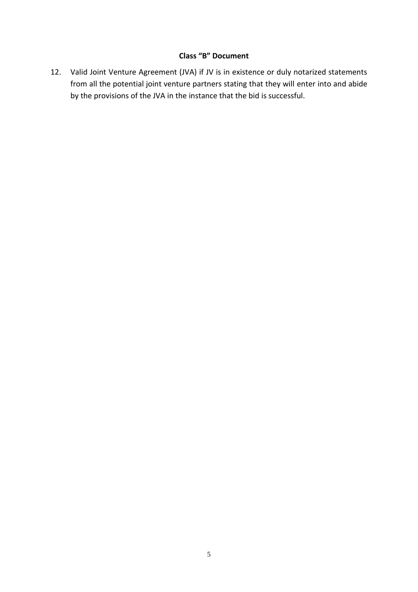#### **Class "B" Document**

12. Valid Joint Venture Agreement (JVA) if JV is in existence or duly notarized statements from all the potential joint venture partners stating that they will enter into and abide by the provisions of the JVA in the instance that the bid is successful.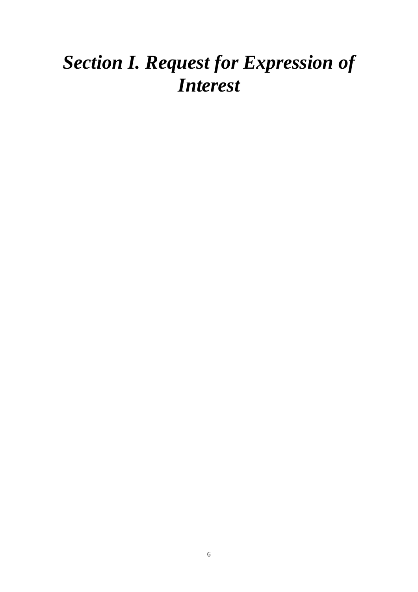## <span id="page-5-0"></span>*Section I. Request for Expression of Interest*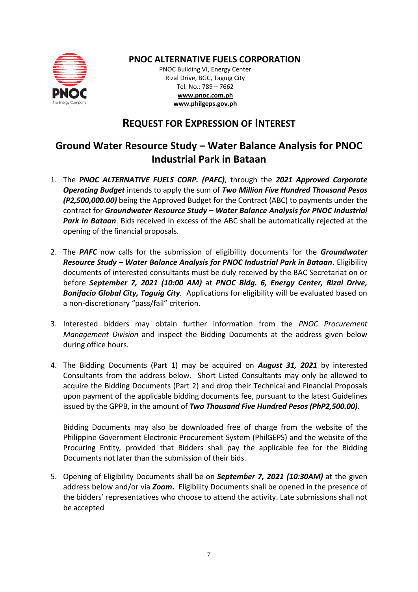

#### **PNOC ALTERNATIVE FUELS CORPORATION**

PNOC Building VI, Energy Center Rizal Drive, BGC, Taguig City Tel. No.: 789 – 7662 **[www.pnoc.com.ph](http://www.pnoc.com.ph/) [www.philgeps.gov.ph](http://www.philgeps.gov.ph/)**

#### **REQUEST FOR EXPRESSION OF INTEREST**

### **Ground Water Resource Study – Water Balance Analysis for PNOC Industrial Park in Bataan**

- 1. The *PNOC ALTERNATIVE FUELS CORP. (PAFC)*, through the *2021 Approved Corporate Operating Budget* intends to apply the sum of *Two Million Five Hundred Thousand Pesos (P2,500,000.00)* being the Approved Budget for the Contract (ABC) to payments under the contract for *Groundwater Resource Study – Water Balance Analysis for PNOC Industrial Park in Bataan*. Bids received in excess of the ABC shall be automatically rejected at the opening of the financial proposals.
- 2. The *PAFC* now calls for the submission of eligibility documents for the *Groundwater Resource Study – Water Balance Analysis for PNOC Industrial Park in Bataan*. Eligibility documents of interested consultants must be duly received by the BAC Secretariat on or before *September 7, 2021 (10:00 AM)* at *PNOC Bldg. 6, Energy Center, Rizal Drive, Bonifacio Global City, Taguig City.* Applications for eligibility will be evaluated based on a non-discretionary "pass/fail" criterion.
- 3. Interested bidders may obtain further information from the *PNOC Procurement Management Division* and inspect the Bidding Documents at the address given below during office hours.
- 4. The Bidding Documents (Part 1) may be acquired on *August 31, 2021* by interested Consultants from the address below. Short Listed Consultants may only be allowed to acquire the Bidding Documents (Part 2) and drop their Technical and Financial Proposals upon payment of the applicable bidding documents fee, pursuant to the latest Guidelines issued by the GPPB, in the amount of *Two Thousand Five Hundred Pesos (PhP2,500.00).*

Bidding Documents may also be downloaded free of charge from the website of the Philippine Government Electronic Procurement System (PhilGEPS) and the website of the Procuring Entity*,* provided that Bidders shall pay the applicable fee for the Bidding Documents not later than the submission of their bids.

5. Opening of Eligibility Documents shall be on *September 7, 2021 (10:30AM)* at the given address below and/or via *Zoom***.** Eligibility Documents shall be opened in the presence of the bidders' representatives who choose to attend the activity. Late submissions shall not be accepted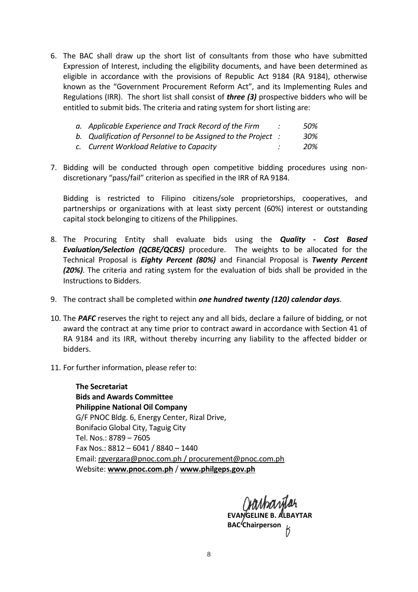6. The BAC shall draw up the short list of consultants from those who have submitted Expression of Interest, including the eligibility documents, and have been determined as eligible in accordance with the provisions of Republic Act 9184 (RA 9184), otherwise known as the "Government Procurement Reform Act", and its Implementing Rules and Regulations (IRR). The short list shall consist of *three (3)* prospective bidders who will be entitled to submit bids. The criteria and rating system for short listing are:

| a. Applicable Experience and Track Record of the Firm         | 50% |
|---------------------------------------------------------------|-----|
| b. Qualification of Personnel to be Assigned to the Project : | 30% |

- *c. Current Workload Relative to Capacity : 20%*
- 7. Bidding will be conducted through open competitive bidding procedures using nondiscretionary "pass/fail" criterion as specified in the IRR of RA 9184.

Bidding is restricted to Filipino citizens/sole proprietorships, cooperatives, and partnerships or organizations with at least sixty percent (60%) interest or outstanding capital stock belonging to citizens of the Philippines.

- 8. The Procuring Entity shall evaluate bids using the *Quality Cost Based Evaluation/Selection (QCBE/QCBS)* procedure.The weights to be allocated for the Technical Proposal is *Eighty Percent (80%)* and Financial Proposal is *Twenty Percent (20%)*. The criteria and rating system for the evaluation of bids shall be provided in the Instructions to Bidders.
- 9. The contract shall be completed within *one hundred twenty (120) calendar days.*
- 10. The *PAFC* reserves the right to reject any and all bids, declare a failure of bidding, or not award the contract at any time prior to contract award in accordance with Section 41 of RA 9184 and its IRR, without thereby incurring any liability to the affected bidder or bidders.
- 11. For further information, please refer to:

**The Secretariat Bids and Awards Committee Philippine National Oil Company**  G/F PNOC Bldg. 6, Energy Center, Rizal Drive, Bonifacio Global City, Taguig City Tel. Nos.: 8789 – 7605 Fax Nos.: 8812 – 6041 / 8840 – 1440 Email: [rgvergara@pnoc.com.ph](mailto:rgvergara@pnoc.com.ph) [/ procurement@pnoc.com.ph](mailto:procurement@pnoc.com.ph)  Website: **[www.pnoc.com.ph](http://www.pnoc.com.ph/)** / **[www.philgeps.gov.ph](http://www.philgeps.gov.ph/)**

**EVANGELINE B. ALBAYTAR BAC**<sup>2</sup>Chairperson **L**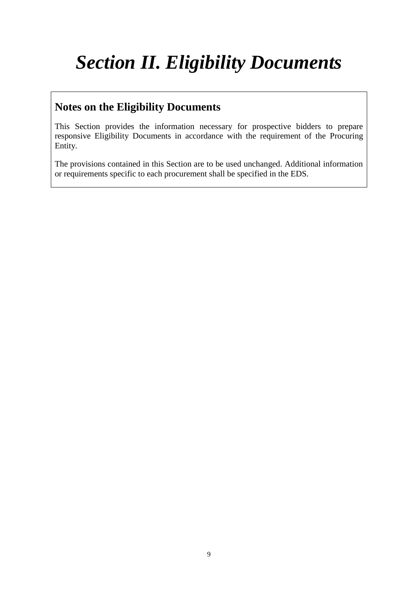## <span id="page-8-0"></span>*Section II. Eligibility Documents*

### **Notes on the Eligibility Documents**

This Section provides the information necessary for prospective bidders to prepare responsive Eligibility Documents in accordance with the requirement of the Procuring Entity.

The provisions contained in this Section are to be used unchanged. Additional information or requirements specific to each procurement shall be specified in the EDS.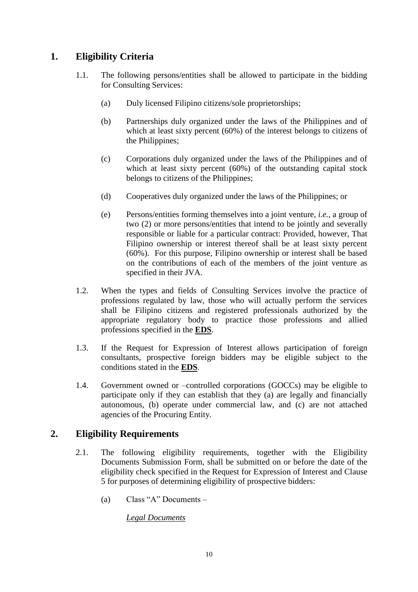#### **1. Eligibility Criteria**

- 1.1. The following persons/entities shall be allowed to participate in the bidding for Consulting Services:
	- (a) Duly licensed Filipino citizens/sole proprietorships;
	- (b) Partnerships duly organized under the laws of the Philippines and of which at least sixty percent (60%) of the interest belongs to citizens of the Philippines;
	- (c) Corporations duly organized under the laws of the Philippines and of which at least sixty percent (60%) of the outstanding capital stock belongs to citizens of the Philippines;
	- (d) Cooperatives duly organized under the laws of the Philippines; or
	- (e) Persons/entities forming themselves into a joint venture, *i.e.*, a group of two (2) or more persons/entities that intend to be jointly and severally responsible or liable for a particular contract: Provided, however, That Filipino ownership or interest thereof shall be at least sixty percent (60%). For this purpose, Filipino ownership or interest shall be based on the contributions of each of the members of the joint venture as specified in their JVA.
- <span id="page-9-0"></span>1.2. When the types and fields of Consulting Services involve the practice of professions regulated by law, those who will actually perform the services shall be Filipino citizens and registered professionals authorized by the appropriate regulatory body to practice those professions and allied professions specified in the **[EDS](#page-16-0)**.
- <span id="page-9-1"></span>1.3. If the Request for Expression of Interest allows participation of foreign consultants, prospective foreign bidders may be eligible subject to the conditions stated in the **[EDS](#page-16-1)**.
- 1.4. Government owned or –controlled corporations (GOCCs) may be eligible to participate only if they can establish that they (a) are legally and financially autonomous, (b) operate under commercial law, and (c) are not attached agencies of the Procuring Entity.

#### **2. Eligibility Requirements**

- 2.1. The following eligibility requirements, together with the Eligibility Documents Submission Form, shall be submitted on or before the date of the eligibility check specified in the Request for Expression of Interest and Clause 5 for purposes of determining eligibility of prospective bidders:
	- (a) Class "A" Documents –

*Legal Documents*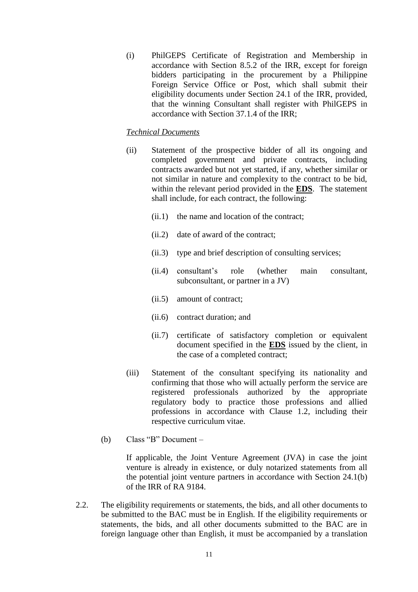(i) PhilGEPS Certificate of Registration and Membership in accordance with Section 8.5.2 of the IRR, except for foreign bidders participating in the procurement by a Philippine Foreign Service Office or Post, which shall submit their eligibility documents under Section 24.1 of the IRR, provided, that the winning Consultant shall register with PhilGEPS in accordance with Section 37.1.4 of the IRR;

#### *Technical Documents*

- (ii) Statement of the prospective bidder of all its ongoing and completed government and private contracts, including contracts awarded but not yet started, if any, whether similar or not similar in nature and complexity to the contract to be bid, within the relevant period provided in the **[EDS](#page-16-2)**. The statement shall include, for each contract, the following:
	- (ii.1) the name and location of the contract;
	- (ii.2) date of award of the contract;
	- (ii.3) type and brief description of consulting services;
	- (ii.4) consultant's role (whether main consultant, subconsultant, or partner in a JV)
	- (ii.5) amount of contract;
	- (ii.6) contract duration; and
	- (ii.7) certificate of satisfactory completion or equivalent document specified in the **[EDS](#page-16-3)** issued by the client, in the case of a completed contract;
- (iii) Statement of the consultant specifying its nationality and confirming that those who will actually perform the service are registered professionals authorized by the appropriate regulatory body to practice those professions and allied professions in accordance with Clause 1.2, including their respective curriculum vitae.
- (b) Class "B" Document –

If applicable, the Joint Venture Agreement (JVA) in case the joint venture is already in existence, or duly notarized statements from all the potential joint venture partners in accordance with Section 24.1(b) of the IRR of RA 9184.

2.2. The eligibility requirements or statements, the bids, and all other documents to be submitted to the BAC must be in English. If the eligibility requirements or statements, the bids, and all other documents submitted to the BAC are in foreign language other than English, it must be accompanied by a translation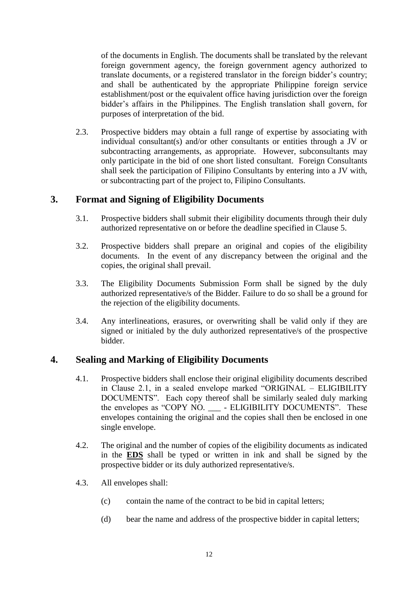of the documents in English. The documents shall be translated by the relevant foreign government agency, the foreign government agency authorized to translate documents, or a registered translator in the foreign bidder's country; and shall be authenticated by the appropriate Philippine foreign service establishment/post or the equivalent office having jurisdiction over the foreign bidder's affairs in the Philippines. The English translation shall govern, for purposes of interpretation of the bid.

2.3. Prospective bidders may obtain a full range of expertise by associating with individual consultant(s) and/or other consultants or entities through a JV or subcontracting arrangements, as appropriate. However, subconsultants may only participate in the bid of one short listed consultant. Foreign Consultants shall seek the participation of Filipino Consultants by entering into a JV with, or subcontracting part of the project to, Filipino Consultants.

#### **3. Format and Signing of Eligibility Documents**

- 3.1. Prospective bidders shall submit their eligibility documents through their duly authorized representative on or before the deadline specified in Clause 5.
- 3.2. Prospective bidders shall prepare an original and copies of the eligibility documents. In the event of any discrepancy between the original and the copies, the original shall prevail.
- 3.3. The Eligibility Documents Submission Form shall be signed by the duly authorized representative/s of the Bidder. Failure to do so shall be a ground for the rejection of the eligibility documents.
- 3.4. Any interlineations, erasures, or overwriting shall be valid only if they are signed or initialed by the duly authorized representative/s of the prospective bidder.

#### **4. Sealing and Marking of Eligibility Documents**

- 4.1. Prospective bidders shall enclose their original eligibility documents described in Clause 2.1, in a sealed envelope marked "ORIGINAL – ELIGIBILITY DOCUMENTS". Each copy thereof shall be similarly sealed duly marking the envelopes as "COPY NO. \_\_\_ - ELIGIBILITY DOCUMENTS". These envelopes containing the original and the copies shall then be enclosed in one single envelope.
- <span id="page-11-0"></span>4.2. The original and the number of copies of the eligibility documents as indicated in the **[EDS](#page-16-4)** shall be typed or written in ink and shall be signed by the prospective bidder or its duly authorized representative/s.
- 4.3. All envelopes shall:
	- (c) contain the name of the contract to be bid in capital letters;
	- (d) bear the name and address of the prospective bidder in capital letters;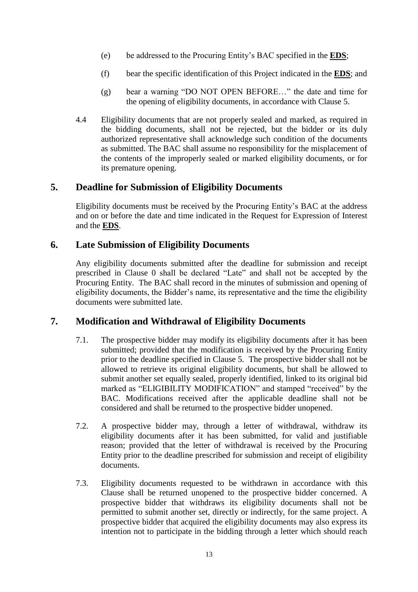- <span id="page-12-1"></span>(e) be addressed to the Procuring Entity's BAC specified in the **[EDS](#page-16-5)**;
- <span id="page-12-2"></span>(f) bear the specific identification of this Project indicated in the **[EDS](#page-16-6)**; and
- (g) bear a warning "DO NOT OPEN BEFORE…" the date and time for the opening of eligibility documents, in accordance with Clause 5.
- 4.4 Eligibility documents that are not properly sealed and marked, as required in the bidding documents, shall not be rejected, but the bidder or its duly authorized representative shall acknowledge such condition of the documents as submitted. The BAC shall assume no responsibility for the misplacement of the contents of the improperly sealed or marked eligibility documents, or for its premature opening.

#### <span id="page-12-0"></span>**5. Deadline for Submission of Eligibility Documents**

Eligibility documents must be received by the Procuring Entity's BAC at the address and on or before the date and time indicated in the Request for Expression of Interest and the **[EDS](#page-16-7)**.

#### **6. Late Submission of Eligibility Documents**

Any eligibility documents submitted after the deadline for submission and receipt prescribed in Clause [0](#page-12-0) shall be declared "Late" and shall not be accepted by the Procuring Entity. The BAC shall record in the minutes of submission and opening of eligibility documents, the Bidder's name, its representative and the time the eligibility documents were submitted late.

#### **7. Modification and Withdrawal of Eligibility Documents**

- 7.1. The prospective bidder may modify its eligibility documents after it has been submitted; provided that the modification is received by the Procuring Entity prior to the deadline specified in Clause 5. The prospective bidder shall not be allowed to retrieve its original eligibility documents, but shall be allowed to submit another set equally sealed, properly identified, linked to its original bid marked as "ELIGIBILITY MODIFICATION" and stamped "received" by the BAC. Modifications received after the applicable deadline shall not be considered and shall be returned to the prospective bidder unopened.
- 7.2. A prospective bidder may, through a letter of withdrawal, withdraw its eligibility documents after it has been submitted, for valid and justifiable reason; provided that the letter of withdrawal is received by the Procuring Entity prior to the deadline prescribed for submission and receipt of eligibility documents.
- 7.3. Eligibility documents requested to be withdrawn in accordance with this Clause shall be returned unopened to the prospective bidder concerned. A prospective bidder that withdraws its eligibility documents shall not be permitted to submit another set, directly or indirectly, for the same project. A prospective bidder that acquired the eligibility documents may also express its intention not to participate in the bidding through a letter which should reach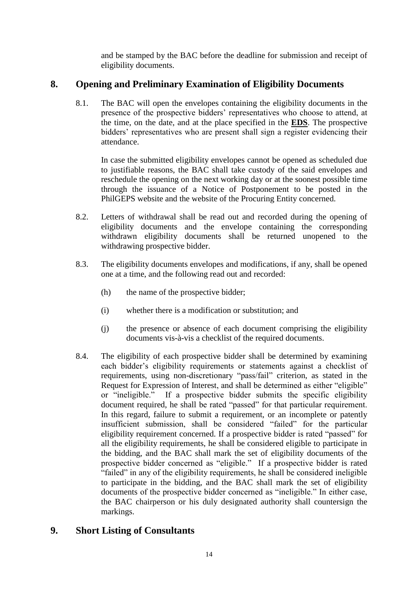and be stamped by the BAC before the deadline for submission and receipt of eligibility documents.

#### <span id="page-13-0"></span>**8. Opening and Preliminary Examination of Eligibility Documents**

8.1. The BAC will open the envelopes containing the eligibility documents in the presence of the prospective bidders' representatives who choose to attend, at the time, on the date, and at the place specified in the **[EDS](#page-16-8)**. The prospective bidders' representatives who are present shall sign a register evidencing their attendance.

In case the submitted eligibility envelopes cannot be opened as scheduled due to justifiable reasons, the BAC shall take custody of the said envelopes and reschedule the opening on the next working day or at the soonest possible time through the issuance of a Notice of Postponement to be posted in the PhilGEPS website and the website of the Procuring Entity concerned.

- 8.2. Letters of withdrawal shall be read out and recorded during the opening of eligibility documents and the envelope containing the corresponding withdrawn eligibility documents shall be returned unopened to the withdrawing prospective bidder.
- 8.3. The eligibility documents envelopes and modifications, if any, shall be opened one at a time, and the following read out and recorded:
	- (h) the name of the prospective bidder;
	- (i) whether there is a modification or substitution; and
	- (j) the presence or absence of each document comprising the eligibility documents vis-à-vis a checklist of the required documents.
- 8.4. The eligibility of each prospective bidder shall be determined by examining each bidder's eligibility requirements or statements against a checklist of requirements, using non-discretionary "pass/fail" criterion, as stated in the Request for Expression of Interest, and shall be determined as either "eligible" or "ineligible." If a prospective bidder submits the specific eligibility document required, he shall be rated "passed" for that particular requirement. In this regard, failure to submit a requirement, or an incomplete or patently insufficient submission, shall be considered "failed" for the particular eligibility requirement concerned. If a prospective bidder is rated "passed" for all the eligibility requirements, he shall be considered eligible to participate in the bidding, and the BAC shall mark the set of eligibility documents of the prospective bidder concerned as "eligible." If a prospective bidder is rated "failed" in any of the eligibility requirements, he shall be considered ineligible to participate in the bidding, and the BAC shall mark the set of eligibility documents of the prospective bidder concerned as "ineligible." In either case, the BAC chairperson or his duly designated authority shall countersign the markings.

#### **9. Short Listing of Consultants**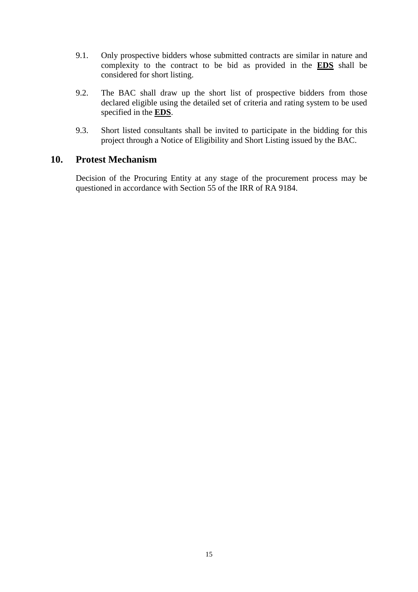- <span id="page-14-0"></span>9.1. Only prospective bidders whose submitted contracts are similar in nature and complexity to the contract to be bid as provided in the **[EDS](#page-17-0)** shall be considered for short listing.
- <span id="page-14-1"></span>9.2. The BAC shall draw up the short list of prospective bidders from those declared eligible using the detailed set of criteria and rating system to be used specified in the **[EDS](#page-17-1)**.
- 9.3. Short listed consultants shall be invited to participate in the bidding for this project through a Notice of Eligibility and Short Listing issued by the BAC.

#### **10. Protest Mechanism**

Decision of the Procuring Entity at any stage of the procurement process may be questioned in accordance with Section 55 of the IRR of RA 9184.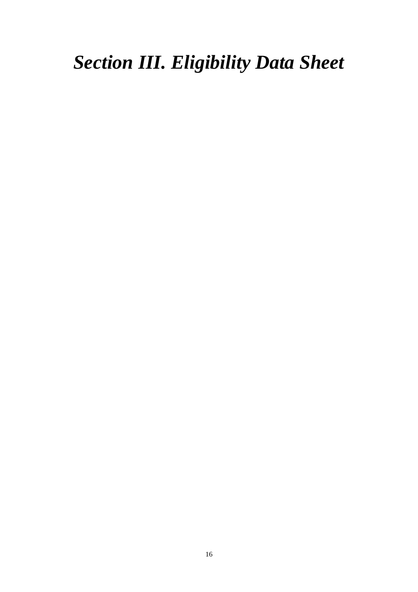## <span id="page-15-0"></span>*Section III. Eligibility Data Sheet*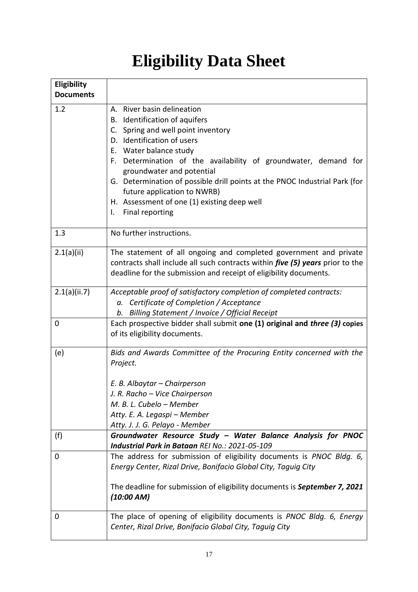## **Eligibility Data Sheet**

<span id="page-16-8"></span><span id="page-16-7"></span><span id="page-16-6"></span><span id="page-16-5"></span><span id="page-16-4"></span><span id="page-16-3"></span><span id="page-16-2"></span><span id="page-16-1"></span><span id="page-16-0"></span>

| Eligibility<br><b>Documents</b> |                                                                                                                                                                                                                                                                                                                                                                                                                                                            |
|---------------------------------|------------------------------------------------------------------------------------------------------------------------------------------------------------------------------------------------------------------------------------------------------------------------------------------------------------------------------------------------------------------------------------------------------------------------------------------------------------|
| 1.2                             | A. River basin delineation<br>Identification of aquifers<br>В.<br>Spring and well point inventory<br>C.<br>D. Identification of users<br>Water balance study<br>Е.<br>Determination of the availability of groundwater, demand for<br>F.<br>groundwater and potential<br>G. Determination of possible drill points at the PNOC Industrial Park (for<br>future application to NWRB)<br>H. Assessment of one (1) existing deep well<br>Final reporting<br>I. |
| 1.3                             | No further instructions.                                                                                                                                                                                                                                                                                                                                                                                                                                   |
| 2.1(a)(ii)                      | The statement of all ongoing and completed government and private<br>contracts shall include all such contracts within <i>five (5) years</i> prior to the<br>deadline for the submission and receipt of eligibility documents.                                                                                                                                                                                                                             |
| 2.1(a)(ii.7)                    | Acceptable proof of satisfactory completion of completed contracts:<br>Certificate of Completion / Acceptance<br>а.<br>Billing Statement / Invoice / Official Receipt<br>b.                                                                                                                                                                                                                                                                                |
| 0                               | Each prospective bidder shall submit one (1) original and three (3) copies<br>of its eligibility documents.                                                                                                                                                                                                                                                                                                                                                |
| (e)                             | Bids and Awards Committee of the Procuring Entity concerned with the<br>Project.<br>E. B. Albaytar - Chairperson<br>J. R. Racho - Vice Chairperson<br>M. B. L. Cubelo - Member<br>Atty. E. A. Legaspi – Member<br>Atty. J. J. G. Pelayo - Member                                                                                                                                                                                                           |
| (f)                             | Groundwater Resource Study - Water Balance Analysis for PNOC<br>Industrial Park in Bataan REI No.: 2021-05-109                                                                                                                                                                                                                                                                                                                                             |
| 0                               | The address for submission of eligibility documents is PNOC Bldg. 6,<br>Energy Center, Rizal Drive, Bonifacio Global City, Taguig City<br>The deadline for submission of eligibility documents is September 7, 2021<br>(10:00 AM)                                                                                                                                                                                                                          |
| 0                               | The place of opening of eligibility documents is PNOC Bldg. 6, Energy<br>Center, Rizal Drive, Bonifacio Global City, Taguig City                                                                                                                                                                                                                                                                                                                           |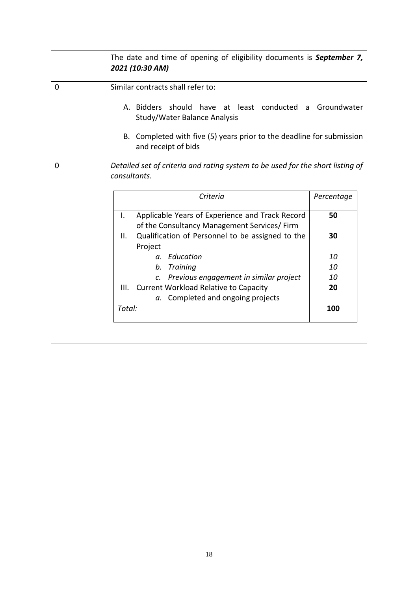<span id="page-17-1"></span><span id="page-17-0"></span>

|   | The date and time of opening of eligibility documents is September 7,<br>2021 (10:30 AM)                                                                                                                                     |     |  |  |  |  |  |
|---|------------------------------------------------------------------------------------------------------------------------------------------------------------------------------------------------------------------------------|-----|--|--|--|--|--|
| 0 | Similar contracts shall refer to:<br>A. Bidders should have at least conducted a Groundwater<br>Study/Water Balance Analysis<br>B. Completed with five (5) years prior to the deadline for submission<br>and receipt of bids |     |  |  |  |  |  |
| 0 | Detailed set of criteria and rating system to be used for the short listing of<br>consultants.                                                                                                                               |     |  |  |  |  |  |
|   | Criteria<br>Percentage                                                                                                                                                                                                       |     |  |  |  |  |  |
|   | Applicable Years of Experience and Track Record<br>I.<br>of the Consultancy Management Services/ Firm                                                                                                                        | 50  |  |  |  |  |  |
|   | Qualification of Personnel to be assigned to the<br>Ш.<br>Project                                                                                                                                                            | 30  |  |  |  |  |  |
|   | a. Education                                                                                                                                                                                                                 | 10  |  |  |  |  |  |
|   | Training<br>$b$ .                                                                                                                                                                                                            | 10  |  |  |  |  |  |
|   | Previous engagement in similar project<br>$\mathcal{C}$ .                                                                                                                                                                    | 10  |  |  |  |  |  |
|   | <b>Current Workload Relative to Capacity</b><br>III.<br>Completed and ongoing projects<br>а.                                                                                                                                 | 20  |  |  |  |  |  |
|   | Total:                                                                                                                                                                                                                       | 100 |  |  |  |  |  |
|   |                                                                                                                                                                                                                              |     |  |  |  |  |  |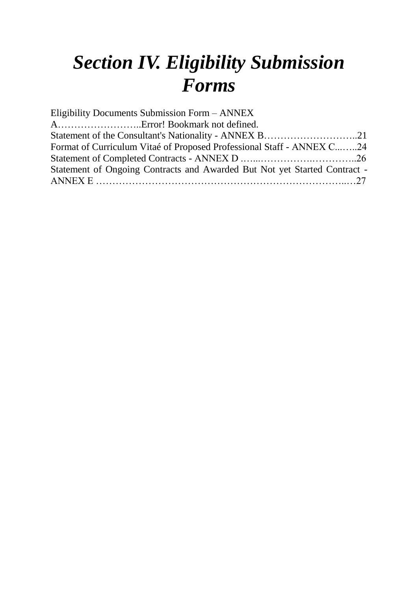## *Section IV. Eligibility Submission Forms*

| Format of Curriculum Vitaé of Proposed Professional Staff - ANNEX C24     |
|---------------------------------------------------------------------------|
|                                                                           |
| Statement of Ongoing Contracts and Awarded But Not yet Started Contract - |
|                                                                           |
|                                                                           |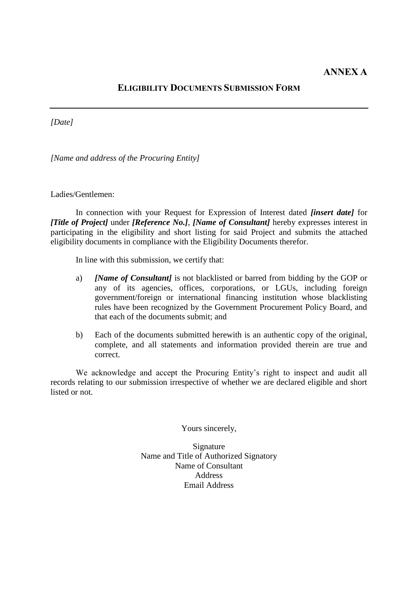#### **ELIGIBILITY DOCUMENTS SUBMISSION FORM**

*[Date]*

*[Name and address of the Procuring Entity]*

Ladies/Gentlemen:

In connection with your Request for Expression of Interest dated *[insert date]* for *[Title of Project]* under *[Reference No.]*, *[Name of Consultant]* hereby expresses interest in participating in the eligibility and short listing for said Project and submits the attached eligibility documents in compliance with the Eligibility Documents therefor.

In line with this submission, we certify that:

- a) *[Name of Consultant]* is not blacklisted or barred from bidding by the GOP or any of its agencies, offices, corporations, or LGUs, including foreign government/foreign or international financing institution whose blacklisting rules have been recognized by the Government Procurement Policy Board, and that each of the documents submit; and
- b) Each of the documents submitted herewith is an authentic copy of the original, complete, and all statements and information provided therein are true and correct.

We acknowledge and accept the Procuring Entity's right to inspect and audit all records relating to our submission irrespective of whether we are declared eligible and short listed or not.

Yours sincerely,

Signature Name and Title of Authorized Signatory Name of Consultant Address Email Address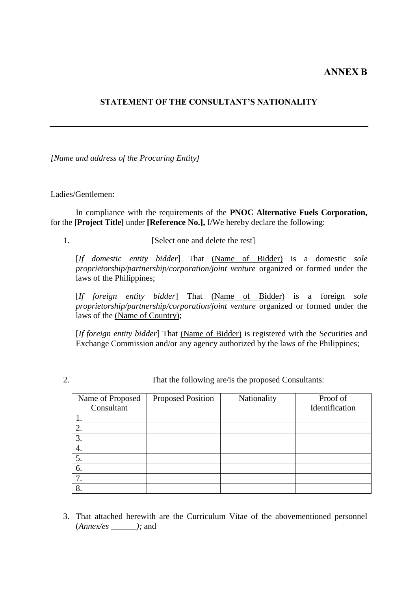#### **ANNEX B**

#### **STATEMENT OF THE CONSULTANT'S NATIONALITY**

*[Name and address of the Procuring Entity]*

#### Ladies/Gentlemen:

In compliance with the requirements of the **PNOC Alternative Fuels Corporation,**  for the **[Project Title]** under **[Reference No.],** I/We hereby declare the following:

1. [Select one and delete the rest]

[*If domestic entity bidder*] That (Name of Bidder) is a domestic *sole proprietorship/partnership/corporation/joint venture* organized or formed under the laws of the Philippines;

[*If foreign entity bidder*] That (Name of Bidder) is a foreign *sole proprietorship/partnership/corporation/joint venture* organized or formed under the laws of the (Name of Country);

[*If foreign entity bidder*] That (Name of Bidder) is registered with the Securities and Exchange Commission and/or any agency authorized by the laws of the Philippines;

2. That the following are/is the proposed Consultants:

| Name of Proposed | <b>Proposed Position</b> | Nationality | Proof of       |
|------------------|--------------------------|-------------|----------------|
| Consultant       |                          |             | Identification |
|                  |                          |             |                |
| 2.               |                          |             |                |
| 3.               |                          |             |                |
| 4.               |                          |             |                |
| 5.               |                          |             |                |
| 6.               |                          |             |                |
|                  |                          |             |                |
| 8.               |                          |             |                |

3. That attached herewith are the Curriculum Vitae of the abovementioned personnel (*Annex/es \_\_\_\_\_\_);* and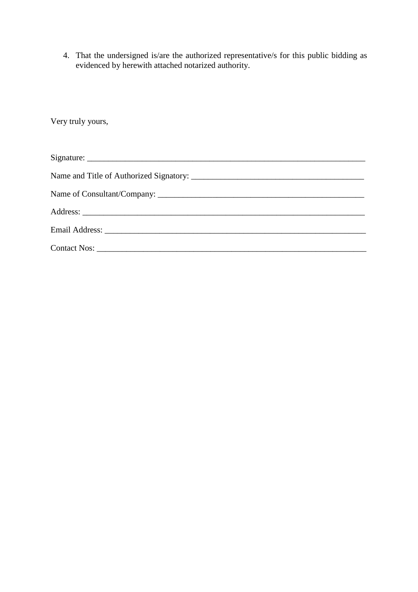4. That the undersigned is/are the authorized representative/s for this public bidding as evidenced by herewith attached notarized authority.

| Very truly yours, |
|-------------------|
|                   |
|                   |
|                   |
|                   |
|                   |
|                   |
|                   |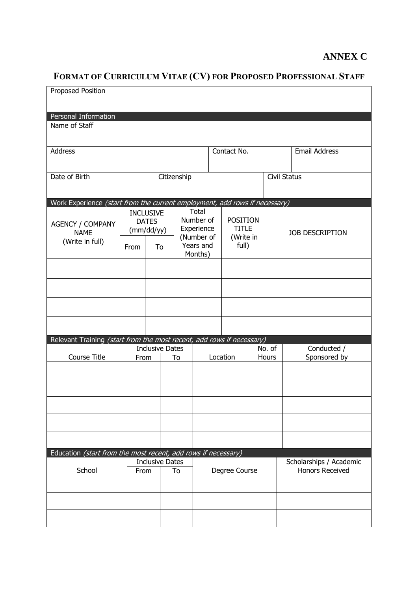### **ANNEX C**

### **FORMAT OF CURRICULUM VITAE (CV) FOR PROPOSED PROFESSIONAL STAFF**

| Personal Information<br>Name of Staff<br>Contact No.<br><b>Email Address</b><br>Address<br>Citizenship<br><b>Civil Status</b><br>Date of Birth<br>Work Experience (start from the current employment, add rows if necessary)<br>Total<br><b>INCLUSIVE</b><br>Number of<br><b>POSITION</b><br><b>DATES</b><br><b>AGENCY / COMPANY</b><br><b>TITLE</b><br>Experience<br>(mm/dd/yy)<br><b>NAME</b><br><b>JOB DESCRIPTION</b><br>(Number of<br>(Write in<br>(Write in full)<br>Years and<br>full)<br>To<br>From<br>Months)<br>Relevant Training (start from the most recent, add rows if necessary)<br>Conducted /<br><b>Inclusive Dates</b><br>No. of<br>Location<br>Course Title<br><b>Hours</b><br>Sponsored by<br>From<br>To<br>Education (start from the most recent, add rows if necessary)<br>Scholarships / Academic<br><b>Inclusive Dates</b><br>School<br><b>Honors Received</b><br>Degree Course<br>To<br>From | <b>Proposed Position</b> |  |  |  |  |
|-----------------------------------------------------------------------------------------------------------------------------------------------------------------------------------------------------------------------------------------------------------------------------------------------------------------------------------------------------------------------------------------------------------------------------------------------------------------------------------------------------------------------------------------------------------------------------------------------------------------------------------------------------------------------------------------------------------------------------------------------------------------------------------------------------------------------------------------------------------------------------------------------------------------------|--------------------------|--|--|--|--|
|                                                                                                                                                                                                                                                                                                                                                                                                                                                                                                                                                                                                                                                                                                                                                                                                                                                                                                                       |                          |  |  |  |  |
|                                                                                                                                                                                                                                                                                                                                                                                                                                                                                                                                                                                                                                                                                                                                                                                                                                                                                                                       |                          |  |  |  |  |
|                                                                                                                                                                                                                                                                                                                                                                                                                                                                                                                                                                                                                                                                                                                                                                                                                                                                                                                       |                          |  |  |  |  |
|                                                                                                                                                                                                                                                                                                                                                                                                                                                                                                                                                                                                                                                                                                                                                                                                                                                                                                                       |                          |  |  |  |  |
|                                                                                                                                                                                                                                                                                                                                                                                                                                                                                                                                                                                                                                                                                                                                                                                                                                                                                                                       |                          |  |  |  |  |
|                                                                                                                                                                                                                                                                                                                                                                                                                                                                                                                                                                                                                                                                                                                                                                                                                                                                                                                       |                          |  |  |  |  |
|                                                                                                                                                                                                                                                                                                                                                                                                                                                                                                                                                                                                                                                                                                                                                                                                                                                                                                                       |                          |  |  |  |  |
|                                                                                                                                                                                                                                                                                                                                                                                                                                                                                                                                                                                                                                                                                                                                                                                                                                                                                                                       |                          |  |  |  |  |
|                                                                                                                                                                                                                                                                                                                                                                                                                                                                                                                                                                                                                                                                                                                                                                                                                                                                                                                       |                          |  |  |  |  |
|                                                                                                                                                                                                                                                                                                                                                                                                                                                                                                                                                                                                                                                                                                                                                                                                                                                                                                                       |                          |  |  |  |  |
|                                                                                                                                                                                                                                                                                                                                                                                                                                                                                                                                                                                                                                                                                                                                                                                                                                                                                                                       |                          |  |  |  |  |
|                                                                                                                                                                                                                                                                                                                                                                                                                                                                                                                                                                                                                                                                                                                                                                                                                                                                                                                       |                          |  |  |  |  |
|                                                                                                                                                                                                                                                                                                                                                                                                                                                                                                                                                                                                                                                                                                                                                                                                                                                                                                                       |                          |  |  |  |  |
|                                                                                                                                                                                                                                                                                                                                                                                                                                                                                                                                                                                                                                                                                                                                                                                                                                                                                                                       |                          |  |  |  |  |
|                                                                                                                                                                                                                                                                                                                                                                                                                                                                                                                                                                                                                                                                                                                                                                                                                                                                                                                       |                          |  |  |  |  |
|                                                                                                                                                                                                                                                                                                                                                                                                                                                                                                                                                                                                                                                                                                                                                                                                                                                                                                                       |                          |  |  |  |  |
|                                                                                                                                                                                                                                                                                                                                                                                                                                                                                                                                                                                                                                                                                                                                                                                                                                                                                                                       |                          |  |  |  |  |
|                                                                                                                                                                                                                                                                                                                                                                                                                                                                                                                                                                                                                                                                                                                                                                                                                                                                                                                       |                          |  |  |  |  |
|                                                                                                                                                                                                                                                                                                                                                                                                                                                                                                                                                                                                                                                                                                                                                                                                                                                                                                                       |                          |  |  |  |  |
|                                                                                                                                                                                                                                                                                                                                                                                                                                                                                                                                                                                                                                                                                                                                                                                                                                                                                                                       |                          |  |  |  |  |
|                                                                                                                                                                                                                                                                                                                                                                                                                                                                                                                                                                                                                                                                                                                                                                                                                                                                                                                       |                          |  |  |  |  |
|                                                                                                                                                                                                                                                                                                                                                                                                                                                                                                                                                                                                                                                                                                                                                                                                                                                                                                                       |                          |  |  |  |  |
|                                                                                                                                                                                                                                                                                                                                                                                                                                                                                                                                                                                                                                                                                                                                                                                                                                                                                                                       |                          |  |  |  |  |
|                                                                                                                                                                                                                                                                                                                                                                                                                                                                                                                                                                                                                                                                                                                                                                                                                                                                                                                       |                          |  |  |  |  |
|                                                                                                                                                                                                                                                                                                                                                                                                                                                                                                                                                                                                                                                                                                                                                                                                                                                                                                                       |                          |  |  |  |  |
|                                                                                                                                                                                                                                                                                                                                                                                                                                                                                                                                                                                                                                                                                                                                                                                                                                                                                                                       |                          |  |  |  |  |
|                                                                                                                                                                                                                                                                                                                                                                                                                                                                                                                                                                                                                                                                                                                                                                                                                                                                                                                       |                          |  |  |  |  |
|                                                                                                                                                                                                                                                                                                                                                                                                                                                                                                                                                                                                                                                                                                                                                                                                                                                                                                                       |                          |  |  |  |  |
|                                                                                                                                                                                                                                                                                                                                                                                                                                                                                                                                                                                                                                                                                                                                                                                                                                                                                                                       |                          |  |  |  |  |
|                                                                                                                                                                                                                                                                                                                                                                                                                                                                                                                                                                                                                                                                                                                                                                                                                                                                                                                       |                          |  |  |  |  |
|                                                                                                                                                                                                                                                                                                                                                                                                                                                                                                                                                                                                                                                                                                                                                                                                                                                                                                                       |                          |  |  |  |  |
|                                                                                                                                                                                                                                                                                                                                                                                                                                                                                                                                                                                                                                                                                                                                                                                                                                                                                                                       |                          |  |  |  |  |
|                                                                                                                                                                                                                                                                                                                                                                                                                                                                                                                                                                                                                                                                                                                                                                                                                                                                                                                       |                          |  |  |  |  |
|                                                                                                                                                                                                                                                                                                                                                                                                                                                                                                                                                                                                                                                                                                                                                                                                                                                                                                                       |                          |  |  |  |  |
|                                                                                                                                                                                                                                                                                                                                                                                                                                                                                                                                                                                                                                                                                                                                                                                                                                                                                                                       |                          |  |  |  |  |
|                                                                                                                                                                                                                                                                                                                                                                                                                                                                                                                                                                                                                                                                                                                                                                                                                                                                                                                       |                          |  |  |  |  |
|                                                                                                                                                                                                                                                                                                                                                                                                                                                                                                                                                                                                                                                                                                                                                                                                                                                                                                                       |                          |  |  |  |  |
|                                                                                                                                                                                                                                                                                                                                                                                                                                                                                                                                                                                                                                                                                                                                                                                                                                                                                                                       |                          |  |  |  |  |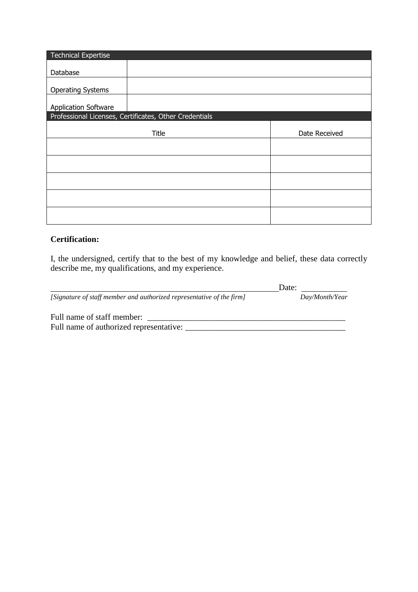| <b>Technical Expertise</b>  |                                                        |               |
|-----------------------------|--------------------------------------------------------|---------------|
|                             |                                                        |               |
| Database                    |                                                        |               |
| <b>Operating Systems</b>    |                                                        |               |
| <b>Application Software</b> |                                                        |               |
|                             | Professional Licenses, Certificates, Other Credentials |               |
|                             |                                                        |               |
|                             | <b>Title</b>                                           | Date Received |
|                             |                                                        |               |
|                             |                                                        |               |
|                             |                                                        |               |
|                             |                                                        |               |
|                             |                                                        |               |
|                             |                                                        |               |
|                             |                                                        |               |
|                             |                                                        |               |

#### **Certification:**

I, the undersigned, certify that to the best of my knowledge and belief, these data correctly describe me, my qualifications, and my experience.

|                                                                       | Date:          |
|-----------------------------------------------------------------------|----------------|
| [Signature of staff member and authorized representative of the firm] | Day/Month/Year |
| Full name of staff member:                                            |                |
| Full name of authorized representative:                               |                |